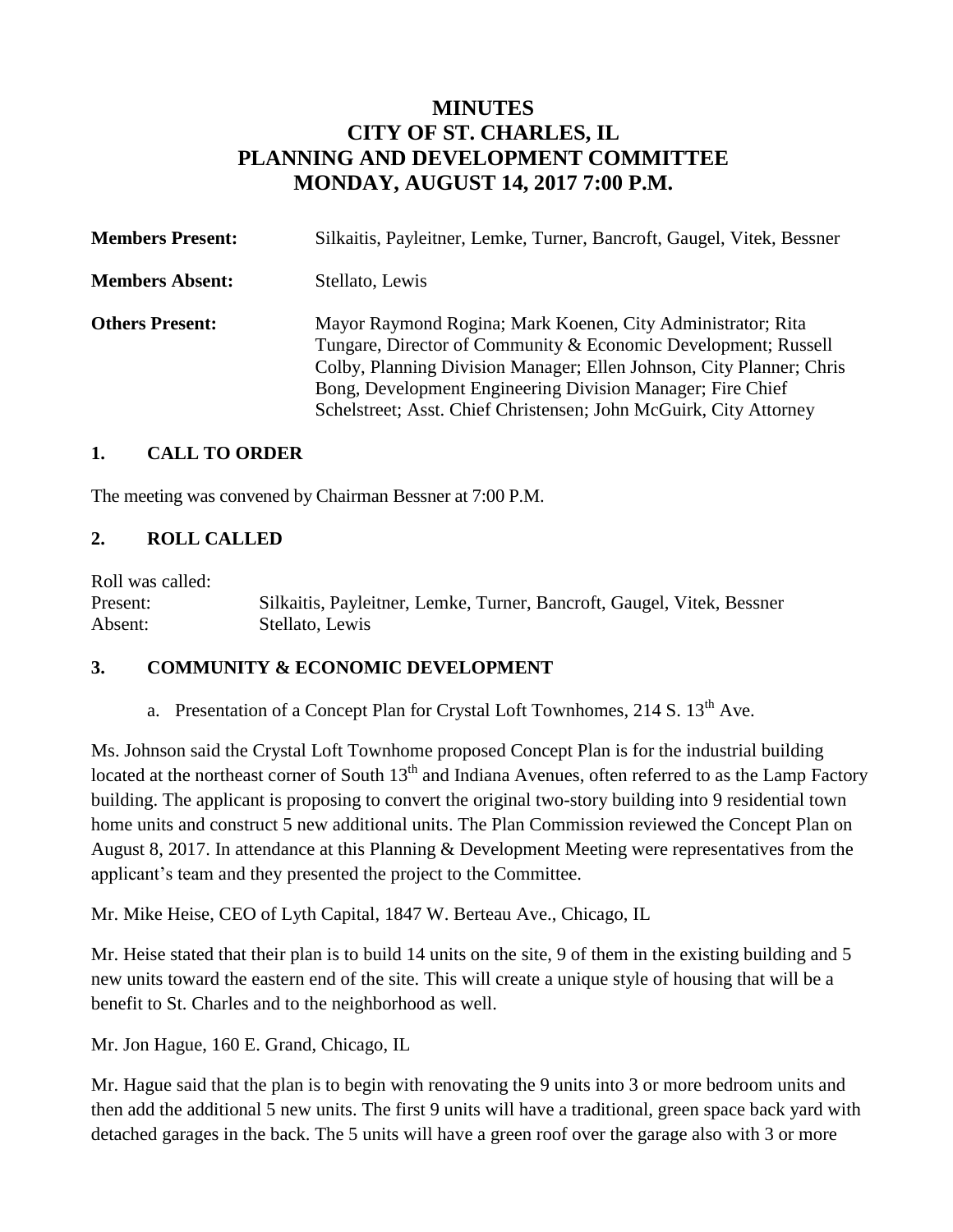# **MINUTES CITY OF ST. CHARLES, IL PLANNING AND DEVELOPMENT COMMITTEE MONDAY, AUGUST 14, 2017 7:00 P.M.**

| <b>Members Present:</b> | Silkaitis, Payleitner, Lemke, Turner, Bancroft, Gaugel, Vitek, Bessner                                                                                                                                                                                                                                                                   |
|-------------------------|------------------------------------------------------------------------------------------------------------------------------------------------------------------------------------------------------------------------------------------------------------------------------------------------------------------------------------------|
| <b>Members Absent:</b>  | Stellato, Lewis                                                                                                                                                                                                                                                                                                                          |
| <b>Others Present:</b>  | Mayor Raymond Rogina; Mark Koenen, City Administrator; Rita<br>Tungare, Director of Community & Economic Development; Russell<br>Colby, Planning Division Manager; Ellen Johnson, City Planner; Chris<br>Bong, Development Engineering Division Manager; Fire Chief<br>Schelstreet; Asst. Chief Christensen; John McGuirk, City Attorney |

### **1. CALL TO ORDER**

The meeting was convened by Chairman Bessner at 7:00 P.M.

# **2. ROLL CALLED**

Roll was called:

Present: Silkaitis, Payleitner, Lemke, Turner, Bancroft, Gaugel, Vitek, Bessner Absent: Stellato, Lewis

### **3. COMMUNITY & ECONOMIC DEVELOPMENT**

a. Presentation of a Concept Plan for Crystal Loft Townhomes,  $214 S. 13<sup>th</sup> Ave.$ 

Ms. Johnson said the Crystal Loft Townhome proposed Concept Plan is for the industrial building located at the northeast corner of South  $13<sup>th</sup>$  and Indiana Avenues, often referred to as the Lamp Factory building. The applicant is proposing to convert the original two-story building into 9 residential town home units and construct 5 new additional units. The Plan Commission reviewed the Concept Plan on August 8, 2017. In attendance at this Planning & Development Meeting were representatives from the applicant's team and they presented the project to the Committee.

Mr. Mike Heise, CEO of Lyth Capital, 1847 W. Berteau Ave., Chicago, IL

Mr. Heise stated that their plan is to build 14 units on the site, 9 of them in the existing building and 5 new units toward the eastern end of the site. This will create a unique style of housing that will be a benefit to St. Charles and to the neighborhood as well.

Mr. Jon Hague, 160 E. Grand, Chicago, IL

Mr. Hague said that the plan is to begin with renovating the 9 units into 3 or more bedroom units and then add the additional 5 new units. The first 9 units will have a traditional, green space back yard with detached garages in the back. The 5 units will have a green roof over the garage also with 3 or more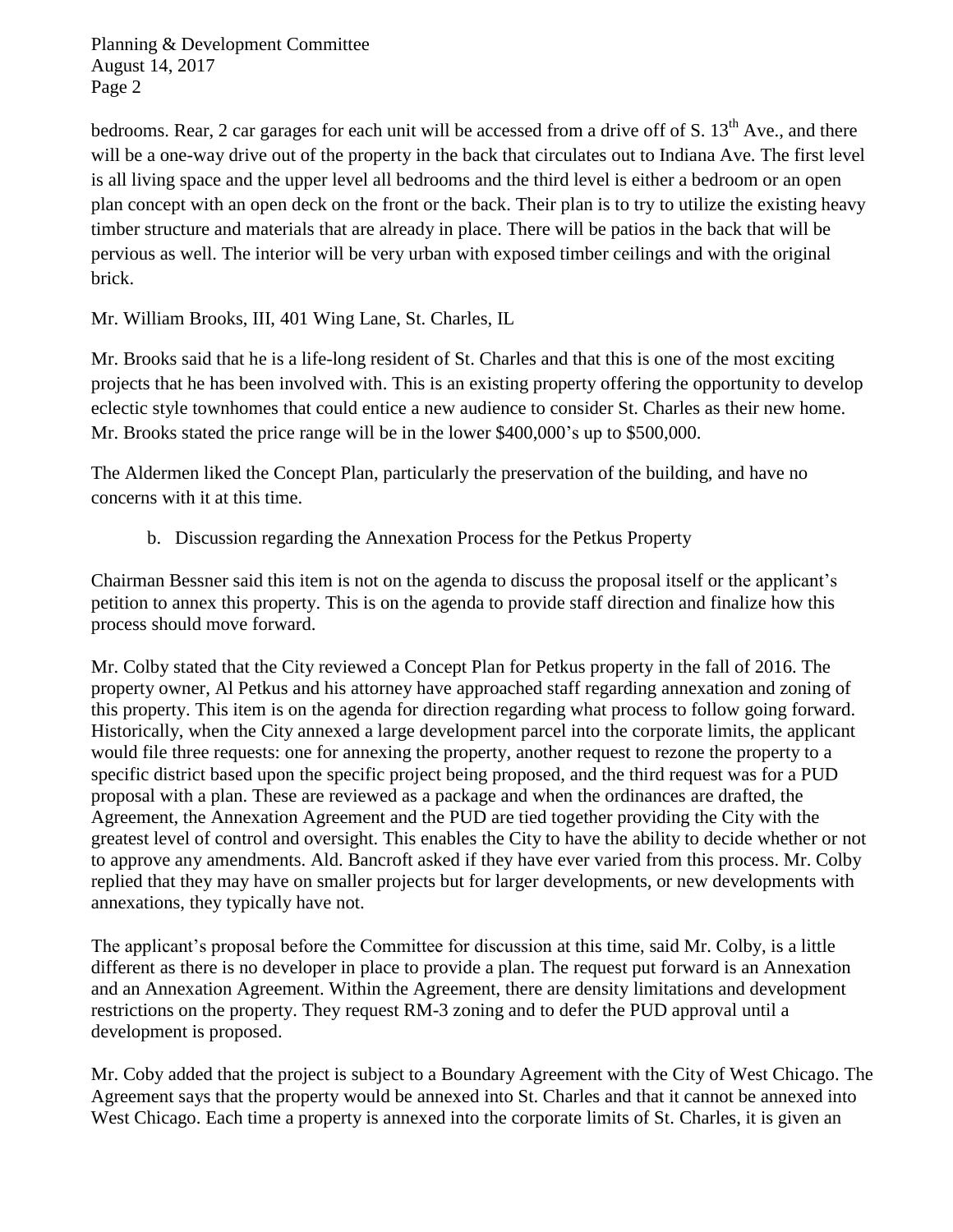bedrooms. Rear, 2 car garages for each unit will be accessed from a drive off of S.  $13<sup>th</sup>$  Ave., and there will be a one-way drive out of the property in the back that circulates out to Indiana Ave. The first level is all living space and the upper level all bedrooms and the third level is either a bedroom or an open plan concept with an open deck on the front or the back. Their plan is to try to utilize the existing heavy timber structure and materials that are already in place. There will be patios in the back that will be pervious as well. The interior will be very urban with exposed timber ceilings and with the original brick.

Mr. William Brooks, III, 401 Wing Lane, St. Charles, IL

Mr. Brooks said that he is a life-long resident of St. Charles and that this is one of the most exciting projects that he has been involved with. This is an existing property offering the opportunity to develop eclectic style townhomes that could entice a new audience to consider St. Charles as their new home. Mr. Brooks stated the price range will be in the lower \$400,000's up to \$500,000.

The Aldermen liked the Concept Plan, particularly the preservation of the building, and have no concerns with it at this time.

b. Discussion regarding the Annexation Process for the Petkus Property

Chairman Bessner said this item is not on the agenda to discuss the proposal itself or the applicant's petition to annex this property. This is on the agenda to provide staff direction and finalize how this process should move forward.

Mr. Colby stated that the City reviewed a Concept Plan for Petkus property in the fall of 2016. The property owner, Al Petkus and his attorney have approached staff regarding annexation and zoning of this property. This item is on the agenda for direction regarding what process to follow going forward. Historically, when the City annexed a large development parcel into the corporate limits, the applicant would file three requests: one for annexing the property, another request to rezone the property to a specific district based upon the specific project being proposed, and the third request was for a PUD proposal with a plan. These are reviewed as a package and when the ordinances are drafted, the Agreement, the Annexation Agreement and the PUD are tied together providing the City with the greatest level of control and oversight. This enables the City to have the ability to decide whether or not to approve any amendments. Ald. Bancroft asked if they have ever varied from this process. Mr. Colby replied that they may have on smaller projects but for larger developments, or new developments with annexations, they typically have not.

The applicant's proposal before the Committee for discussion at this time, said Mr. Colby, is a little different as there is no developer in place to provide a plan. The request put forward is an Annexation and an Annexation Agreement. Within the Agreement, there are density limitations and development restrictions on the property. They request RM-3 zoning and to defer the PUD approval until a development is proposed.

Mr. Coby added that the project is subject to a Boundary Agreement with the City of West Chicago. The Agreement says that the property would be annexed into St. Charles and that it cannot be annexed into West Chicago. Each time a property is annexed into the corporate limits of St. Charles, it is given an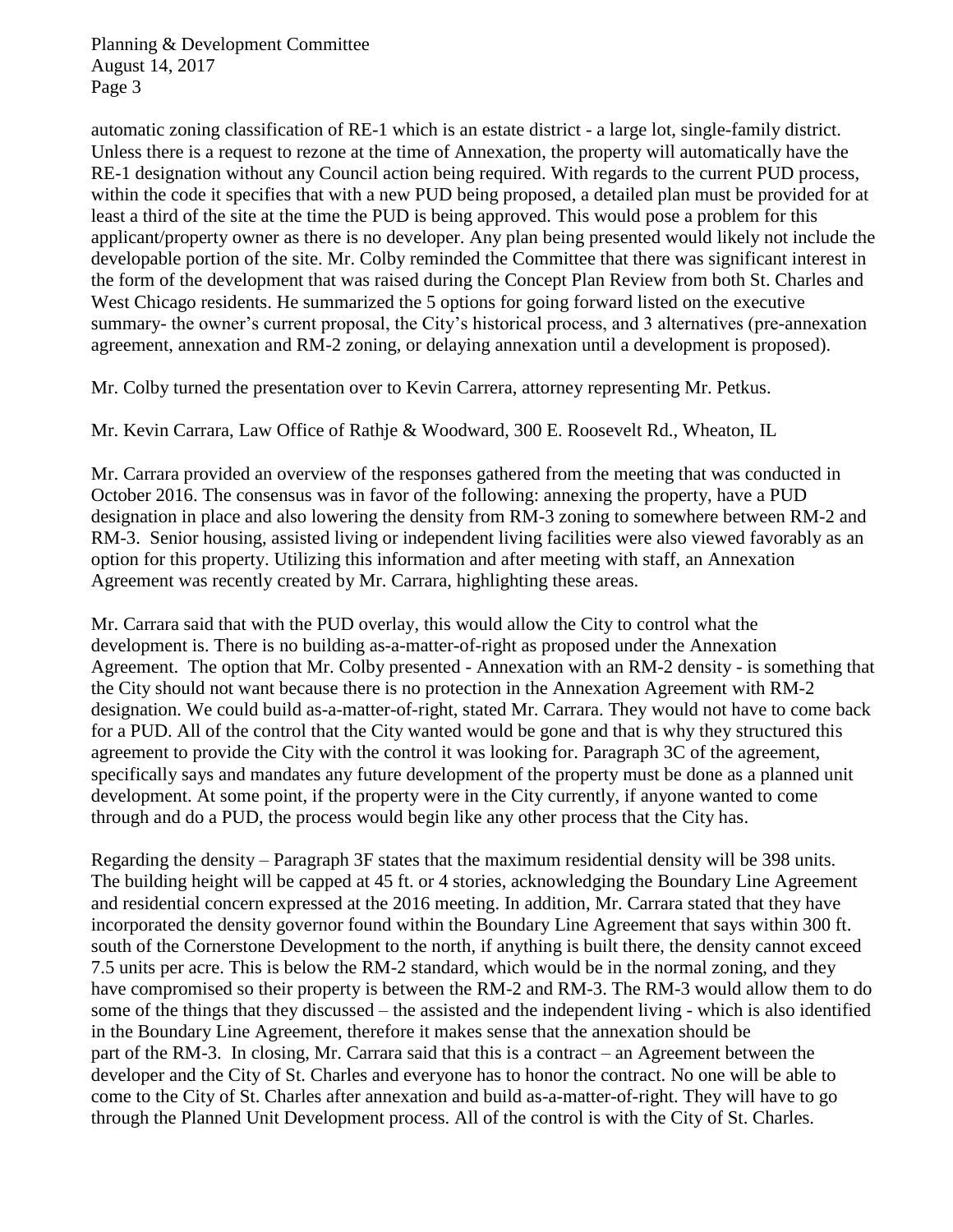automatic zoning classification of RE-1 which is an estate district - a large lot, single-family district. Unless there is a request to rezone at the time of Annexation, the property will automatically have the RE-1 designation without any Council action being required. With regards to the current PUD process, within the code it specifies that with a new PUD being proposed, a detailed plan must be provided for at least a third of the site at the time the PUD is being approved. This would pose a problem for this applicant/property owner as there is no developer. Any plan being presented would likely not include the developable portion of the site. Mr. Colby reminded the Committee that there was significant interest in the form of the development that was raised during the Concept Plan Review from both St. Charles and West Chicago residents. He summarized the 5 options for going forward listed on the executive summary- the owner's current proposal, the City's historical process, and 3 alternatives (pre-annexation agreement, annexation and RM-2 zoning, or delaying annexation until a development is proposed).

Mr. Colby turned the presentation over to Kevin Carrera, attorney representing Mr. Petkus.

Mr. Kevin Carrara, Law Office of Rathje & Woodward, 300 E. Roosevelt Rd., Wheaton, IL

Mr. Carrara provided an overview of the responses gathered from the meeting that was conducted in October 2016. The consensus was in favor of the following: annexing the property, have a PUD designation in place and also lowering the density from RM-3 zoning to somewhere between RM-2 and RM-3. Senior housing, assisted living or independent living facilities were also viewed favorably as an option for this property. Utilizing this information and after meeting with staff, an Annexation Agreement was recently created by Mr. Carrara, highlighting these areas.

Mr. Carrara said that with the PUD overlay, this would allow the City to control what the development is. There is no building as-a-matter-of-right as proposed under the Annexation Agreement. The option that Mr. Colby presented - Annexation with an RM-2 density - is something that the City should not want because there is no protection in the Annexation Agreement with RM-2 designation. We could build as-a-matter-of-right, stated Mr. Carrara. They would not have to come back for a PUD. All of the control that the City wanted would be gone and that is why they structured this agreement to provide the City with the control it was looking for. Paragraph 3C of the agreement, specifically says and mandates any future development of the property must be done as a planned unit development. At some point, if the property were in the City currently, if anyone wanted to come through and do a PUD, the process would begin like any other process that the City has.

Regarding the density – Paragraph 3F states that the maximum residential density will be 398 units. The building height will be capped at 45 ft. or 4 stories, acknowledging the Boundary Line Agreement and residential concern expressed at the 2016 meeting. In addition, Mr. Carrara stated that they have incorporated the density governor found within the Boundary Line Agreement that says within 300 ft. south of the Cornerstone Development to the north, if anything is built there, the density cannot exceed 7.5 units per acre. This is below the RM-2 standard, which would be in the normal zoning, and they have compromised so their property is between the RM-2 and RM-3. The RM-3 would allow them to do some of the things that they discussed – the assisted and the independent living - which is also identified in the Boundary Line Agreement, therefore it makes sense that the annexation should be part of the RM-3. In closing, Mr. Carrara said that this is a contract – an Agreement between the developer and the City of St. Charles and everyone has to honor the contract. No one will be able to come to the City of St. Charles after annexation and build as-a-matter-of-right. They will have to go through the Planned Unit Development process. All of the control is with the City of St. Charles.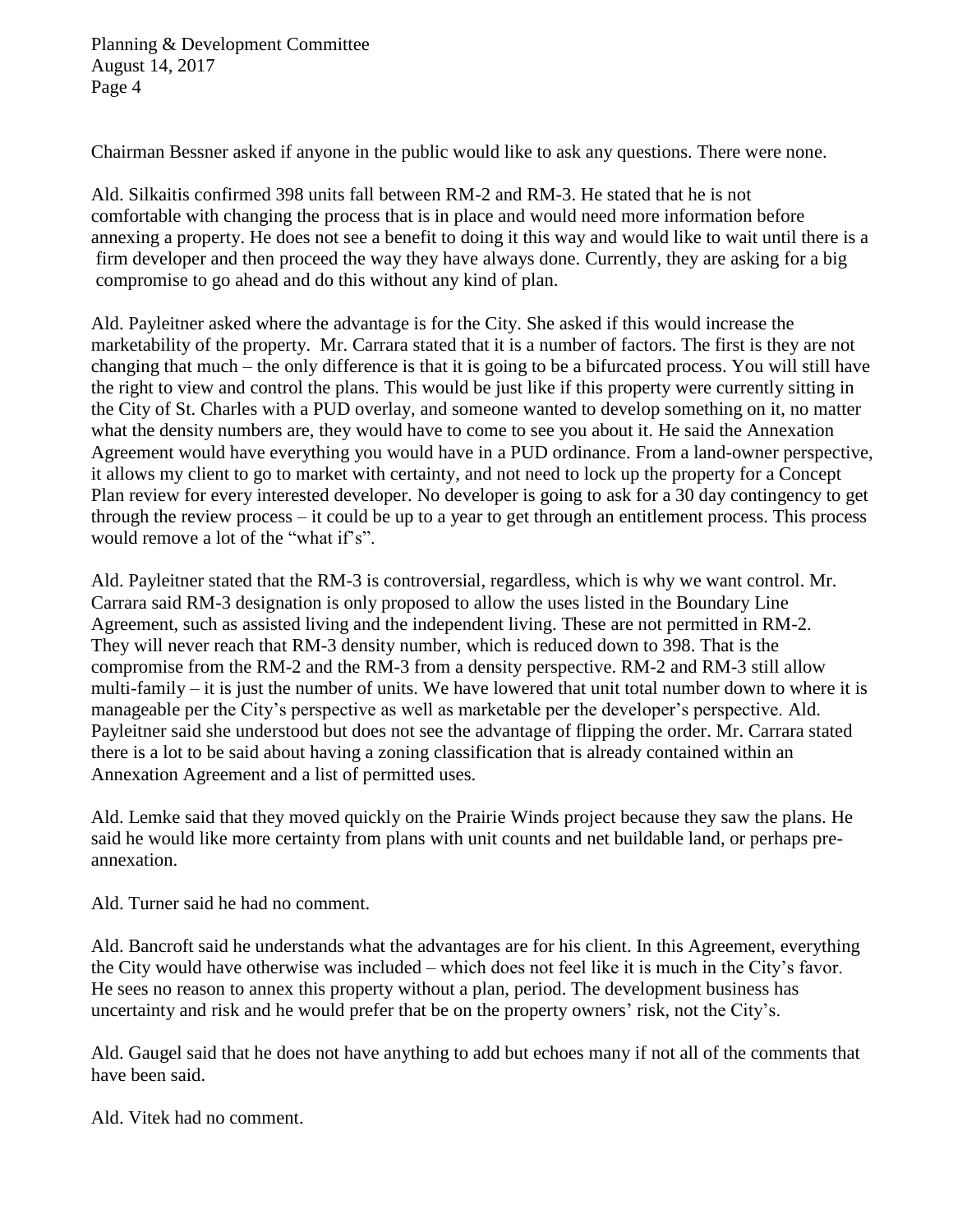Chairman Bessner asked if anyone in the public would like to ask any questions. There were none.

Ald. Silkaitis confirmed 398 units fall between RM-2 and RM-3. He stated that he is not comfortable with changing the process that is in place and would need more information before annexing a property. He does not see a benefit to doing it this way and would like to wait until there is a firm developer and then proceed the way they have always done. Currently, they are asking for a big compromise to go ahead and do this without any kind of plan.

Ald. Payleitner asked where the advantage is for the City. She asked if this would increase the marketability of the property. Mr. Carrara stated that it is a number of factors. The first is they are not changing that much – the only difference is that it is going to be a bifurcated process. You will still have the right to view and control the plans. This would be just like if this property were currently sitting in the City of St. Charles with a PUD overlay, and someone wanted to develop something on it, no matter what the density numbers are, they would have to come to see you about it. He said the Annexation Agreement would have everything you would have in a PUD ordinance. From a land-owner perspective, it allows my client to go to market with certainty, and not need to lock up the property for a Concept Plan review for every interested developer. No developer is going to ask for a 30 day contingency to get through the review process – it could be up to a year to get through an entitlement process. This process would remove a lot of the "what if's".

Ald. Payleitner stated that the RM-3 is controversial, regardless, which is why we want control. Mr. Carrara said RM-3 designation is only proposed to allow the uses listed in the Boundary Line Agreement, such as assisted living and the independent living. These are not permitted in RM-2. They will never reach that RM-3 density number, which is reduced down to 398. That is the compromise from the RM-2 and the RM-3 from a density perspective. RM-2 and RM-3 still allow multi-family – it is just the number of units. We have lowered that unit total number down to where it is manageable per the City's perspective as well as marketable per the developer's perspective. Ald. Payleitner said she understood but does not see the advantage of flipping the order. Mr. Carrara stated there is a lot to be said about having a zoning classification that is already contained within an Annexation Agreement and a list of permitted uses.

Ald. Lemke said that they moved quickly on the Prairie Winds project because they saw the plans. He said he would like more certainty from plans with unit counts and net buildable land, or perhaps preannexation.

Ald. Turner said he had no comment.

Ald. Bancroft said he understands what the advantages are for his client. In this Agreement, everything the City would have otherwise was included – which does not feel like it is much in the City's favor. He sees no reason to annex this property without a plan, period. The development business has uncertainty and risk and he would prefer that be on the property owners' risk, not the City's.

Ald. Gaugel said that he does not have anything to add but echoes many if not all of the comments that have been said.

Ald. Vitek had no comment.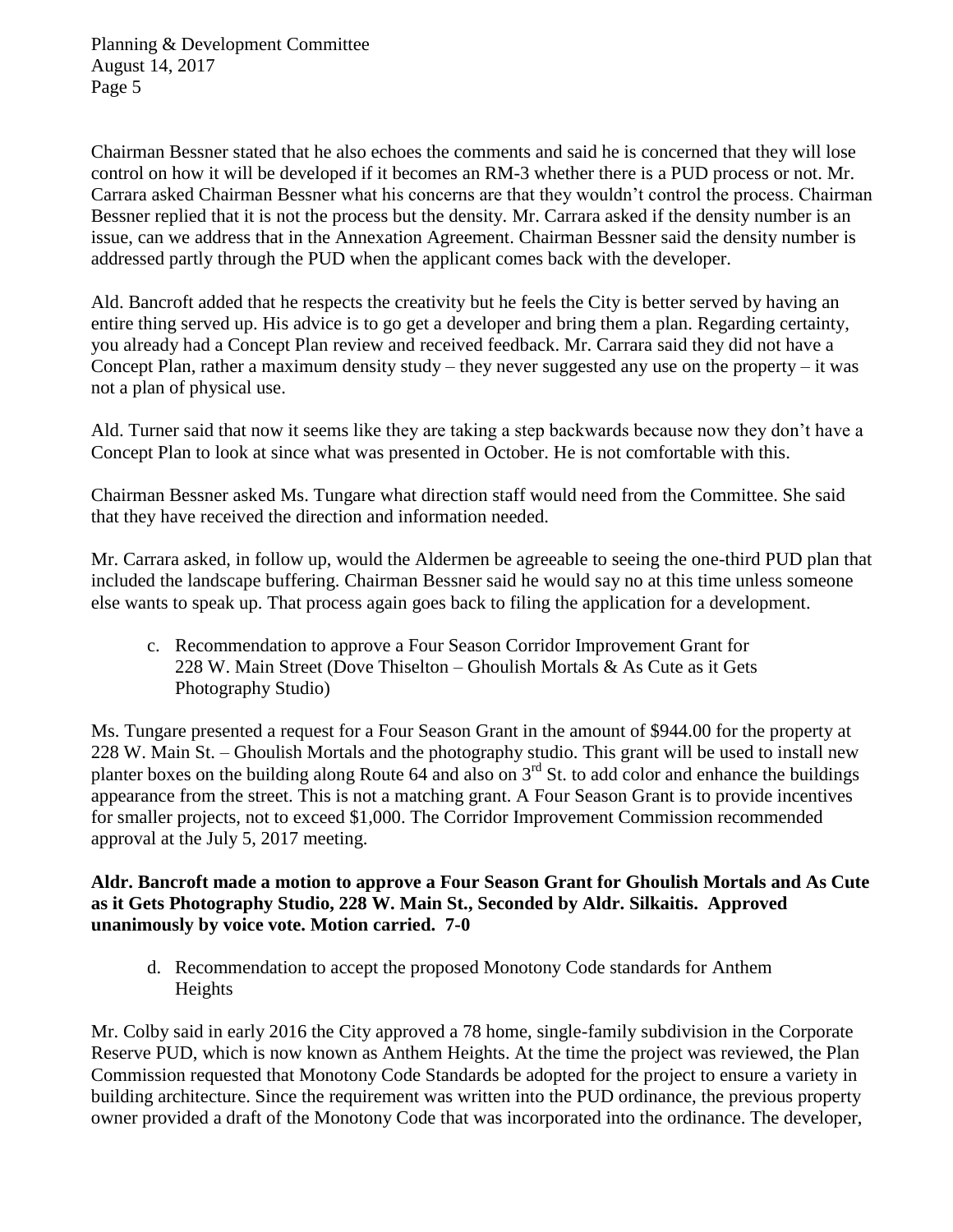Chairman Bessner stated that he also echoes the comments and said he is concerned that they will lose control on how it will be developed if it becomes an RM-3 whether there is a PUD process or not. Mr. Carrara asked Chairman Bessner what his concerns are that they wouldn't control the process. Chairman Bessner replied that it is not the process but the density. Mr. Carrara asked if the density number is an issue, can we address that in the Annexation Agreement. Chairman Bessner said the density number is addressed partly through the PUD when the applicant comes back with the developer.

Ald. Bancroft added that he respects the creativity but he feels the City is better served by having an entire thing served up. His advice is to go get a developer and bring them a plan. Regarding certainty, you already had a Concept Plan review and received feedback. Mr. Carrara said they did not have a Concept Plan, rather a maximum density study – they never suggested any use on the property – it was not a plan of physical use.

Ald. Turner said that now it seems like they are taking a step backwards because now they don't have a Concept Plan to look at since what was presented in October. He is not comfortable with this.

Chairman Bessner asked Ms. Tungare what direction staff would need from the Committee. She said that they have received the direction and information needed.

Mr. Carrara asked, in follow up, would the Aldermen be agreeable to seeing the one-third PUD plan that included the landscape buffering. Chairman Bessner said he would say no at this time unless someone else wants to speak up. That process again goes back to filing the application for a development.

c. Recommendation to approve a Four Season Corridor Improvement Grant for 228 W. Main Street (Dove Thiselton – Ghoulish Mortals & As Cute as it Gets Photography Studio)

Ms. Tungare presented a request for a Four Season Grant in the amount of \$944.00 for the property at 228 W. Main St. – Ghoulish Mortals and the photography studio. This grant will be used to install new planter boxes on the building along Route 64 and also on  $3<sup>rd</sup>$  St. to add color and enhance the buildings appearance from the street. This is not a matching grant. A Four Season Grant is to provide incentives for smaller projects, not to exceed \$1,000. The Corridor Improvement Commission recommended approval at the July 5, 2017 meeting.

### **Aldr. Bancroft made a motion to approve a Four Season Grant for Ghoulish Mortals and As Cute as it Gets Photography Studio, 228 W. Main St., Seconded by Aldr. Silkaitis. Approved unanimously by voice vote. Motion carried. 7-0**

d. Recommendation to accept the proposed Monotony Code standards for Anthem Heights

Mr. Colby said in early 2016 the City approved a 78 home, single-family subdivision in the Corporate Reserve PUD, which is now known as Anthem Heights. At the time the project was reviewed, the Plan Commission requested that Monotony Code Standards be adopted for the project to ensure a variety in building architecture. Since the requirement was written into the PUD ordinance, the previous property owner provided a draft of the Monotony Code that was incorporated into the ordinance. The developer,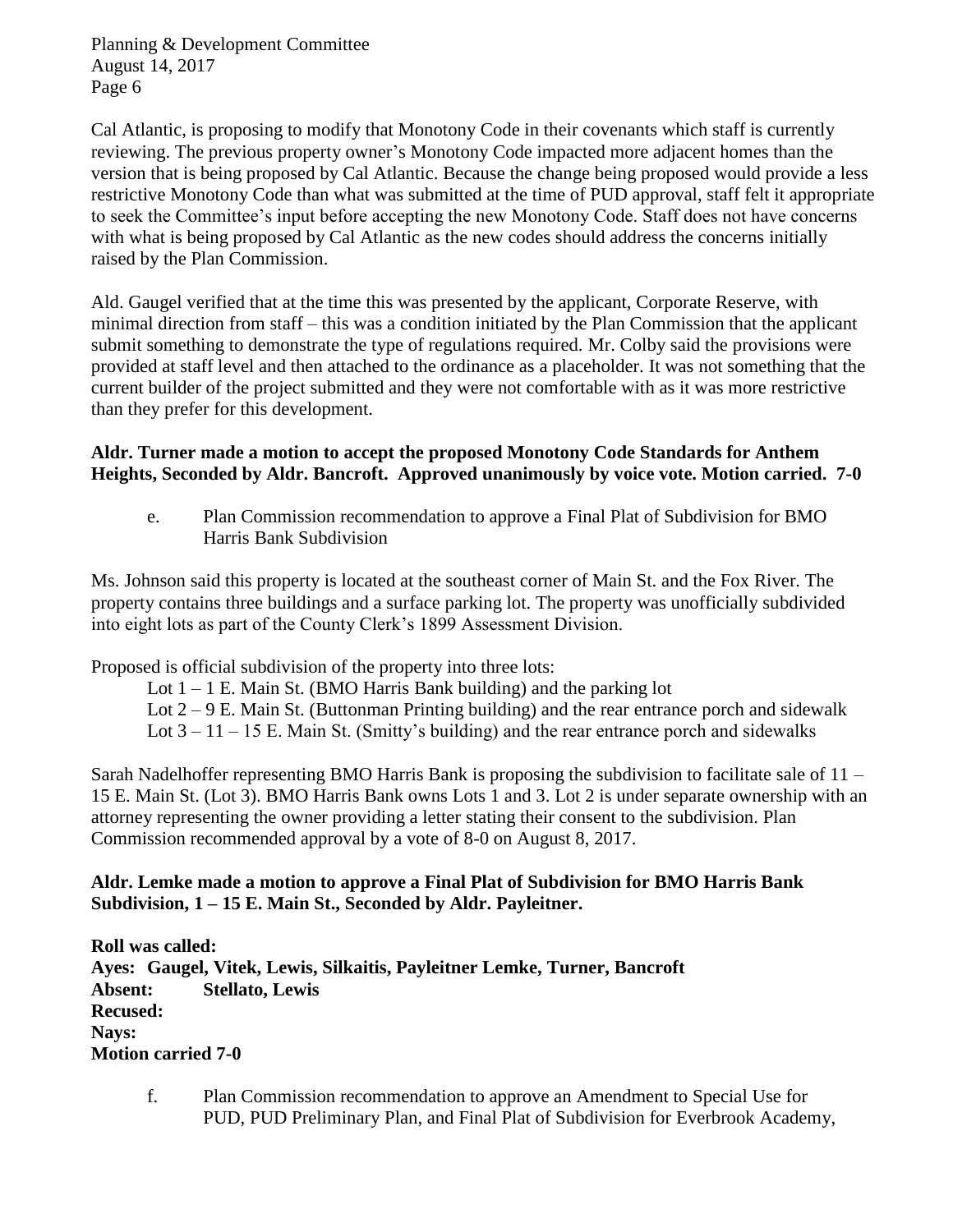Cal Atlantic, is proposing to modify that Monotony Code in their covenants which staff is currently reviewing. The previous property owner's Monotony Code impacted more adjacent homes than the version that is being proposed by Cal Atlantic. Because the change being proposed would provide a less restrictive Monotony Code than what was submitted at the time of PUD approval, staff felt it appropriate to seek the Committee's input before accepting the new Monotony Code. Staff does not have concerns with what is being proposed by Cal Atlantic as the new codes should address the concerns initially raised by the Plan Commission.

Ald. Gaugel verified that at the time this was presented by the applicant, Corporate Reserve, with minimal direction from staff – this was a condition initiated by the Plan Commission that the applicant submit something to demonstrate the type of regulations required. Mr. Colby said the provisions were provided at staff level and then attached to the ordinance as a placeholder. It was not something that the current builder of the project submitted and they were not comfortable with as it was more restrictive than they prefer for this development.

### **Aldr. Turner made a motion to accept the proposed Monotony Code Standards for Anthem Heights, Seconded by Aldr. Bancroft. Approved unanimously by voice vote. Motion carried. 7-0**

e. Plan Commission recommendation to approve a Final Plat of Subdivision for BMO Harris Bank Subdivision

Ms. Johnson said this property is located at the southeast corner of Main St. and the Fox River. The property contains three buildings and a surface parking lot. The property was unofficially subdivided into eight lots as part of the County Clerk's 1899 Assessment Division.

Proposed is official subdivision of the property into three lots:

- Lot  $1 1$  E. Main St. (BMO Harris Bank building) and the parking lot
- Lot  $2 9$  E. Main St. (Buttonman Printing building) and the rear entrance porch and sidewalk
- Lot  $3 11 15$  E. Main St. (Smitty's building) and the rear entrance porch and sidewalks

Sarah Nadelhoffer representing BMO Harris Bank is proposing the subdivision to facilitate sale of 11 – 15 E. Main St. (Lot 3). BMO Harris Bank owns Lots 1 and 3. Lot 2 is under separate ownership with an attorney representing the owner providing a letter stating their consent to the subdivision. Plan Commission recommended approval by a vote of 8-0 on August 8, 2017.

# **Aldr. Lemke made a motion to approve a Final Plat of Subdivision for BMO Harris Bank Subdivision, 1 – 15 E. Main St., Seconded by Aldr. Payleitner.**

**Roll was called: Ayes: Gaugel, Vitek, Lewis, Silkaitis, Payleitner Lemke, Turner, Bancroft Absent: Stellato, Lewis Recused: Nays: Motion carried 7-0**

f. Plan Commission recommendation to approve an Amendment to Special Use for PUD, PUD Preliminary Plan, and Final Plat of Subdivision for Everbrook Academy,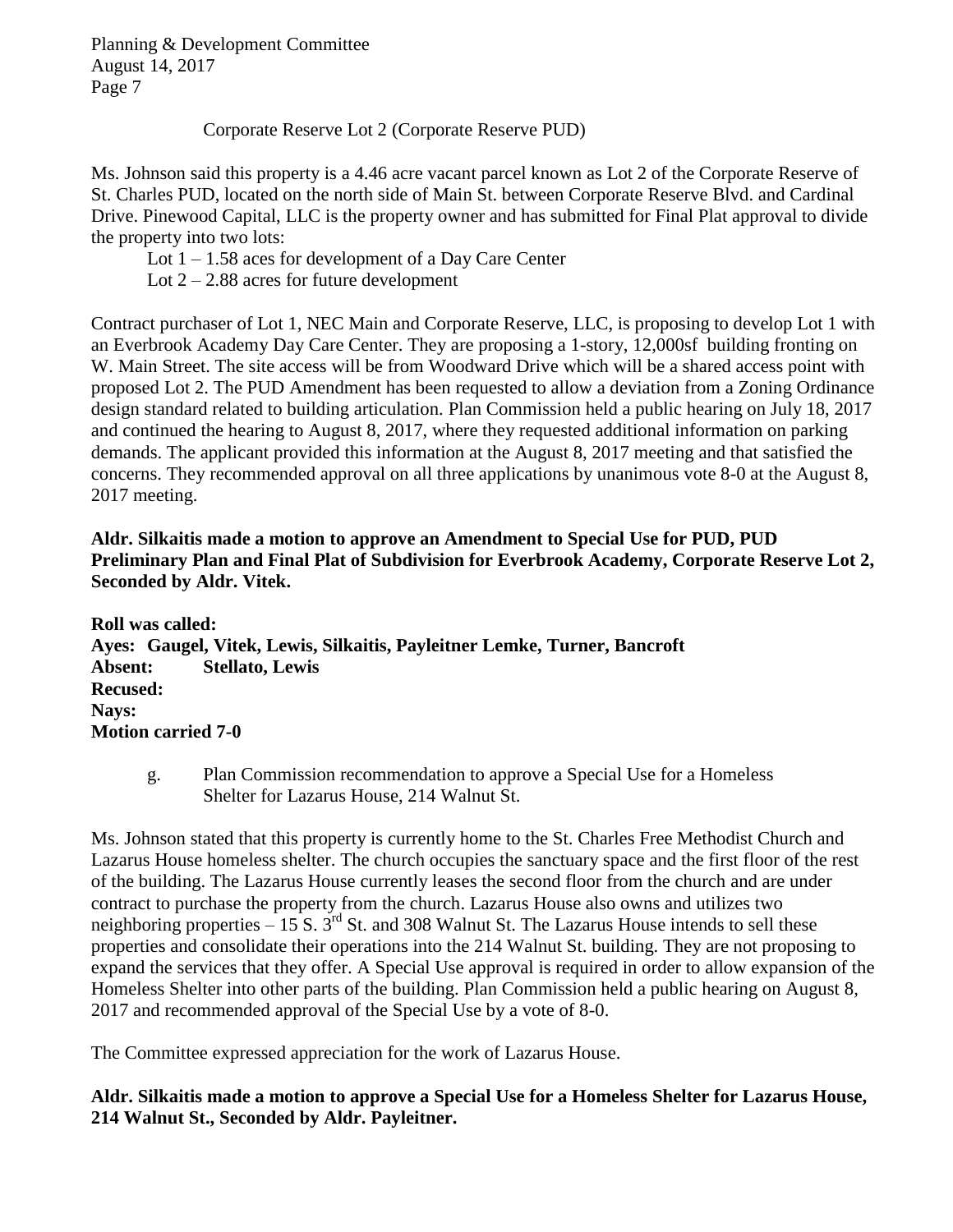Corporate Reserve Lot 2 (Corporate Reserve PUD)

Ms. Johnson said this property is a 4.46 acre vacant parcel known as Lot 2 of the Corporate Reserve of St. Charles PUD, located on the north side of Main St. between Corporate Reserve Blvd. and Cardinal Drive. Pinewood Capital, LLC is the property owner and has submitted for Final Plat approval to divide the property into two lots:

Lot  $1 - 1.58$  aces for development of a Day Care Center

Lot  $2 - 2.88$  acres for future development

Contract purchaser of Lot 1, NEC Main and Corporate Reserve, LLC, is proposing to develop Lot 1 with an Everbrook Academy Day Care Center. They are proposing a 1-story, 12,000sf building fronting on W. Main Street. The site access will be from Woodward Drive which will be a shared access point with proposed Lot 2. The PUD Amendment has been requested to allow a deviation from a Zoning Ordinance design standard related to building articulation. Plan Commission held a public hearing on July 18, 2017 and continued the hearing to August 8, 2017, where they requested additional information on parking demands. The applicant provided this information at the August 8, 2017 meeting and that satisfied the concerns. They recommended approval on all three applications by unanimous vote 8-0 at the August 8, 2017 meeting.

**Aldr. Silkaitis made a motion to approve an Amendment to Special Use for PUD, PUD Preliminary Plan and Final Plat of Subdivision for Everbrook Academy, Corporate Reserve Lot 2, Seconded by Aldr. Vitek.** 

**Roll was called: Ayes: Gaugel, Vitek, Lewis, Silkaitis, Payleitner Lemke, Turner, Bancroft Absent: Stellato, Lewis Recused: Nays: Motion carried 7-0**

g. Plan Commission recommendation to approve a Special Use for a Homeless Shelter for Lazarus House, 214 Walnut St.

Ms. Johnson stated that this property is currently home to the St. Charles Free Methodist Church and Lazarus House homeless shelter. The church occupies the sanctuary space and the first floor of the rest of the building. The Lazarus House currently leases the second floor from the church and are under contract to purchase the property from the church. Lazarus House also owns and utilizes two neighboring properties  $-15$  S.  $3^{rd}$  St. and 308 Walnut St. The Lazarus House intends to sell these properties and consolidate their operations into the 214 Walnut St. building. They are not proposing to expand the services that they offer. A Special Use approval is required in order to allow expansion of the Homeless Shelter into other parts of the building. Plan Commission held a public hearing on August 8, 2017 and recommended approval of the Special Use by a vote of 8-0.

The Committee expressed appreciation for the work of Lazarus House.

**Aldr. Silkaitis made a motion to approve a Special Use for a Homeless Shelter for Lazarus House, 214 Walnut St., Seconded by Aldr. Payleitner.**